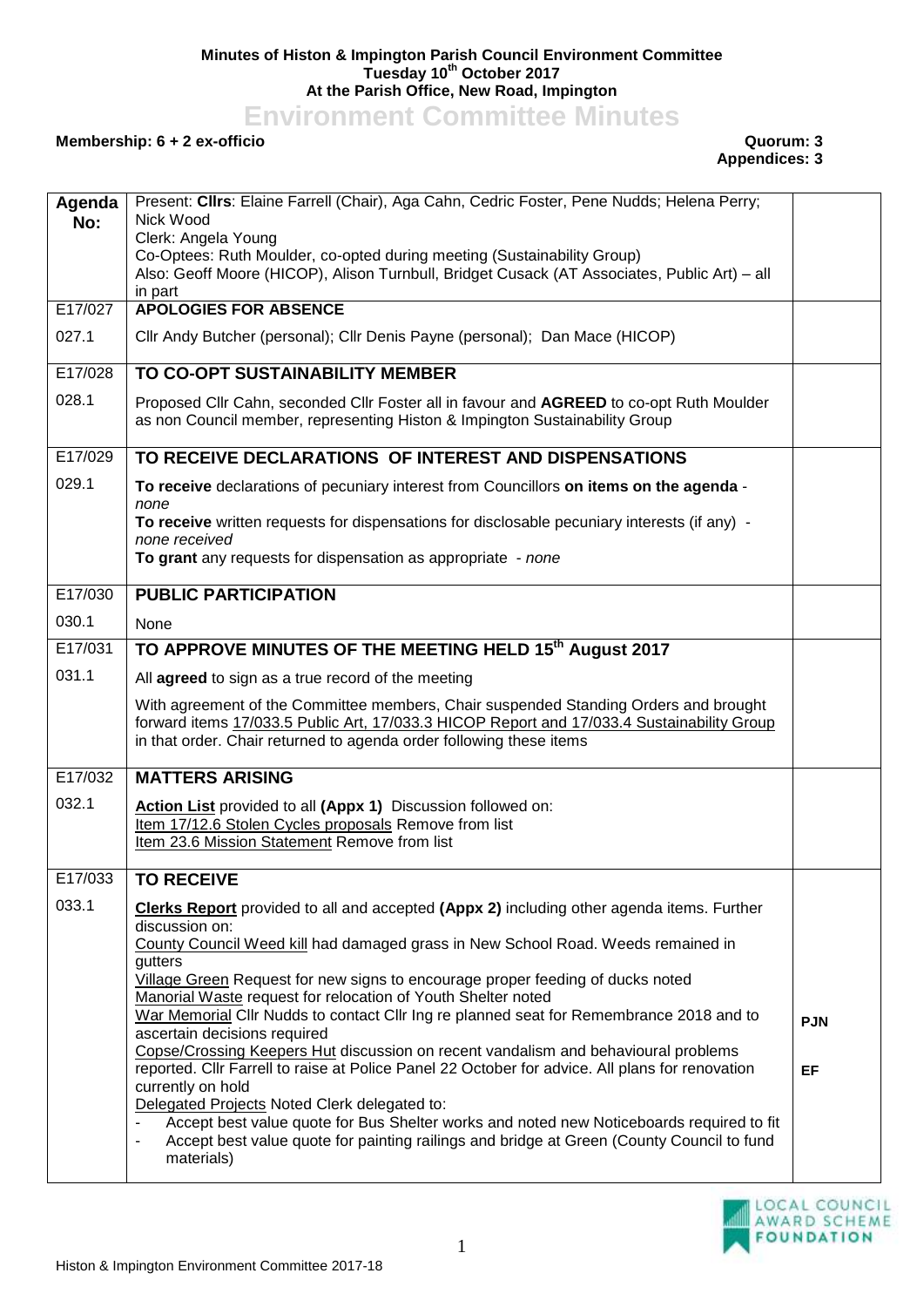## **Minutes of Histon & Impington Parish Council Environment Committee Tuesday 10th October 2017 At the Parish Office, New Road, Impington**

**Environment Committee Minutes**

## **Membership: 6 + 2 ex-officio Quorum: 3**

## **Appendices: 3**

| Agenda<br>No: | Present: Cllrs: Elaine Farrell (Chair), Aga Cahn, Cedric Foster, Pene Nudds; Helena Perry;<br>Nick Wood<br>Clerk: Angela Young<br>Co-Optees: Ruth Moulder, co-opted during meeting (Sustainability Group)<br>Also: Geoff Moore (HICOP), Alison Turnbull, Bridget Cusack (AT Associates, Public Art) - all<br>in part                                                                                                                                                                              |            |
|---------------|---------------------------------------------------------------------------------------------------------------------------------------------------------------------------------------------------------------------------------------------------------------------------------------------------------------------------------------------------------------------------------------------------------------------------------------------------------------------------------------------------|------------|
| E17/027       | <b>APOLOGIES FOR ABSENCE</b>                                                                                                                                                                                                                                                                                                                                                                                                                                                                      |            |
| 027.1         | Cllr Andy Butcher (personal); Cllr Denis Payne (personal); Dan Mace (HICOP)                                                                                                                                                                                                                                                                                                                                                                                                                       |            |
| E17/028       | TO CO-OPT SUSTAINABILITY MEMBER                                                                                                                                                                                                                                                                                                                                                                                                                                                                   |            |
| 028.1         | Proposed Cllr Cahn, seconded Cllr Foster all in favour and AGREED to co-opt Ruth Moulder<br>as non Council member, representing Histon & Impington Sustainability Group                                                                                                                                                                                                                                                                                                                           |            |
| E17/029       | TO RECEIVE DECLARATIONS OF INTEREST AND DISPENSATIONS                                                                                                                                                                                                                                                                                                                                                                                                                                             |            |
| 029.1         | To receive declarations of pecuniary interest from Councillors on items on the agenda -                                                                                                                                                                                                                                                                                                                                                                                                           |            |
|               | none<br>To receive written requests for dispensations for disclosable pecuniary interests (if any) -<br>none received                                                                                                                                                                                                                                                                                                                                                                             |            |
|               | To grant any requests for dispensation as appropriate - none                                                                                                                                                                                                                                                                                                                                                                                                                                      |            |
| E17/030       | <b>PUBLIC PARTICIPATION</b>                                                                                                                                                                                                                                                                                                                                                                                                                                                                       |            |
| 030.1         | None                                                                                                                                                                                                                                                                                                                                                                                                                                                                                              |            |
| E17/031       | TO APPROVE MINUTES OF THE MEETING HELD 15th August 2017                                                                                                                                                                                                                                                                                                                                                                                                                                           |            |
| 031.1         | All agreed to sign as a true record of the meeting                                                                                                                                                                                                                                                                                                                                                                                                                                                |            |
|               | With agreement of the Committee members, Chair suspended Standing Orders and brought<br>forward items 17/033.5 Public Art, 17/033.3 HICOP Report and 17/033.4 Sustainability Group<br>in that order. Chair returned to agenda order following these items                                                                                                                                                                                                                                         |            |
| E17/032       | <b>MATTERS ARISING</b>                                                                                                                                                                                                                                                                                                                                                                                                                                                                            |            |
| 032.1         | Action List provided to all (Appx 1) Discussion followed on:<br>Item 17/12.6 Stolen Cycles proposals Remove from list<br>Item 23.6 Mission Statement Remove from list                                                                                                                                                                                                                                                                                                                             |            |
| E17/033       | <b>TO RECEIVE</b>                                                                                                                                                                                                                                                                                                                                                                                                                                                                                 |            |
| 033.1         | Clerks Report provided to all and accepted (Appx 2) including other agenda items. Further<br>discussion on:<br>County Council Weed kill had damaged grass in New School Road. Weeds remained in<br>gutters<br>Village Green Request for new signs to encourage proper feeding of ducks noted<br>Manorial Waste request for relocation of Youth Shelter noted                                                                                                                                      |            |
|               | War Memorial Cllr Nudds to contact Cllr Ing re planned seat for Remembrance 2018 and to<br>ascertain decisions required                                                                                                                                                                                                                                                                                                                                                                           | <b>PJN</b> |
|               | Copse/Crossing Keepers Hut discussion on recent vandalism and behavioural problems<br>reported. Cllr Farrell to raise at Police Panel 22 October for advice. All plans for renovation<br>currently on hold<br>Delegated Projects Noted Clerk delegated to:<br>Accept best value quote for Bus Shelter works and noted new Noticeboards required to fit<br>Accept best value quote for painting railings and bridge at Green (County Council to fund<br>$\qquad \qquad \blacksquare$<br>materials) | <b>EF</b>  |

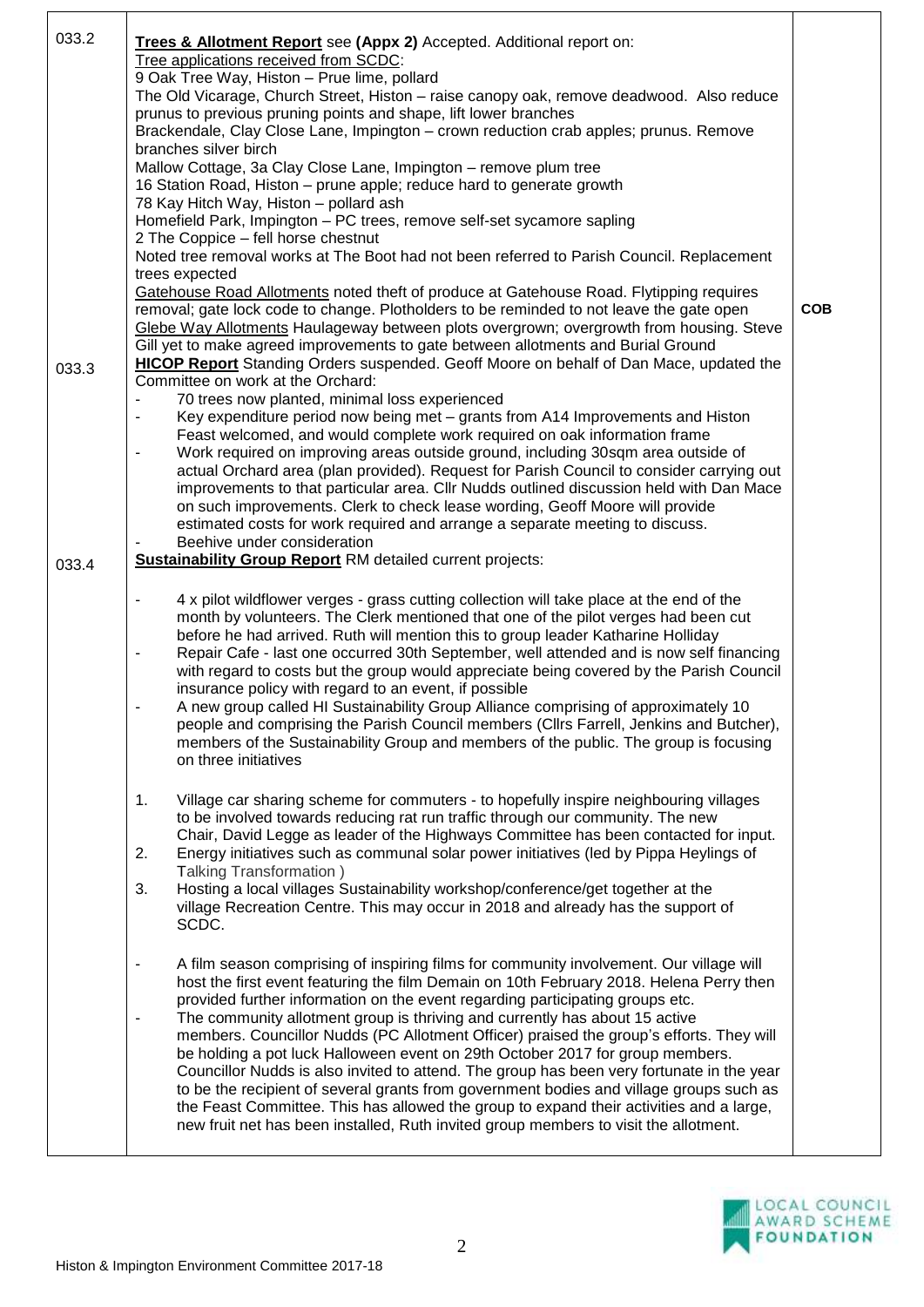| 033.2 | Trees & Allotment Report see (Appx 2) Accepted. Additional report on:                                                                                                       |            |
|-------|-----------------------------------------------------------------------------------------------------------------------------------------------------------------------------|------------|
|       | Tree applications received from SCDC:                                                                                                                                       |            |
|       | 9 Oak Tree Way, Histon - Prue lime, pollard                                                                                                                                 |            |
|       | The Old Vicarage, Church Street, Histon - raise canopy oak, remove deadwood. Also reduce                                                                                    |            |
|       | prunus to previous pruning points and shape, lift lower branches                                                                                                            |            |
|       | Brackendale, Clay Close Lane, Impington - crown reduction crab apples; prunus. Remove                                                                                       |            |
|       | branches silver birch<br>Mallow Cottage, 3a Clay Close Lane, Impington - remove plum tree                                                                                   |            |
|       | 16 Station Road, Histon - prune apple; reduce hard to generate growth                                                                                                       |            |
|       | 78 Kay Hitch Way, Histon - pollard ash                                                                                                                                      |            |
|       | Homefield Park, Impington - PC trees, remove self-set sycamore sapling                                                                                                      |            |
|       | 2 The Coppice - fell horse chestnut                                                                                                                                         |            |
|       | Noted tree removal works at The Boot had not been referred to Parish Council. Replacement                                                                                   |            |
|       | trees expected                                                                                                                                                              |            |
|       | Gatehouse Road Allotments noted theft of produce at Gatehouse Road. Flytipping requires                                                                                     |            |
|       | removal; gate lock code to change. Plotholders to be reminded to not leave the gate open                                                                                    | <b>COB</b> |
|       | Glebe Way Allotments Haulageway between plots overgrown; overgrowth from housing. Steve                                                                                     |            |
|       | Gill yet to make agreed improvements to gate between allotments and Burial Ground                                                                                           |            |
| 033.3 | <b>HICOP Report</b> Standing Orders suspended. Geoff Moore on behalf of Dan Mace, updated the<br>Committee on work at the Orchard:                                          |            |
|       | 70 trees now planted, minimal loss experienced                                                                                                                              |            |
|       | Key expenditure period now being met - grants from A14 Improvements and Histon                                                                                              |            |
|       | Feast welcomed, and would complete work required on oak information frame                                                                                                   |            |
|       | Work required on improving areas outside ground, including 30sqm area outside of<br>$\overline{\phantom{0}}$                                                                |            |
|       | actual Orchard area (plan provided). Request for Parish Council to consider carrying out                                                                                    |            |
|       | improvements to that particular area. Cllr Nudds outlined discussion held with Dan Mace                                                                                     |            |
|       | on such improvements. Clerk to check lease wording, Geoff Moore will provide                                                                                                |            |
|       | estimated costs for work required and arrange a separate meeting to discuss.                                                                                                |            |
|       | Beehive under consideration                                                                                                                                                 |            |
| 033.4 | <b>Sustainability Group Report RM detailed current projects:</b>                                                                                                            |            |
|       |                                                                                                                                                                             |            |
|       | 4 x pilot wildflower verges - grass cutting collection will take place at the end of the                                                                                    |            |
|       | month by volunteers. The Clerk mentioned that one of the pilot verges had been cut                                                                                          |            |
|       | before he had arrived. Ruth will mention this to group leader Katharine Holliday<br>Repair Cafe - last one occurred 30th September, well attended and is now self financing |            |
|       | with regard to costs but the group would appreciate being covered by the Parish Council                                                                                     |            |
|       | insurance policy with regard to an event, if possible                                                                                                                       |            |
|       | A new group called HI Sustainability Group Alliance comprising of approximately 10                                                                                          |            |
|       | people and comprising the Parish Council members (ClIrs Farrell, Jenkins and Butcher),                                                                                      |            |
|       | members of the Sustainability Group and members of the public. The group is focusing                                                                                        |            |
|       | on three initiatives                                                                                                                                                        |            |
|       |                                                                                                                                                                             |            |
|       | Village car sharing scheme for commuters - to hopefully inspire neighbouring villages<br>1.                                                                                 |            |
|       | to be involved towards reducing rat run traffic through our community. The new                                                                                              |            |
|       | Chair, David Legge as leader of the Highways Committee has been contacted for input.                                                                                        |            |
|       | Energy initiatives such as communal solar power initiatives (led by Pippa Heylings of<br>2.                                                                                 |            |
|       | Talking Transformation)                                                                                                                                                     |            |
|       | Hosting a local villages Sustainability workshop/conference/get together at the<br>3.<br>village Recreation Centre. This may occur in 2018 and already has the support of   |            |
|       | SCDC.                                                                                                                                                                       |            |
|       |                                                                                                                                                                             |            |
|       | A film season comprising of inspiring films for community involvement. Our village will<br>$\overline{\phantom{a}}$                                                         |            |
|       | host the first event featuring the film Demain on 10th February 2018. Helena Perry then                                                                                     |            |
|       | provided further information on the event regarding participating groups etc.                                                                                               |            |
|       | The community allotment group is thriving and currently has about 15 active                                                                                                 |            |
|       | members. Councillor Nudds (PC Allotment Officer) praised the group's efforts. They will                                                                                     |            |
|       | be holding a pot luck Halloween event on 29th October 2017 for group members.                                                                                               |            |
|       | Councillor Nudds is also invited to attend. The group has been very fortunate in the year                                                                                   |            |
|       | to be the recipient of several grants from government bodies and village groups such as                                                                                     |            |
|       | the Feast Committee. This has allowed the group to expand their activities and a large,                                                                                     |            |
|       | new fruit net has been installed, Ruth invited group members to visit the allotment.                                                                                        |            |
|       |                                                                                                                                                                             |            |

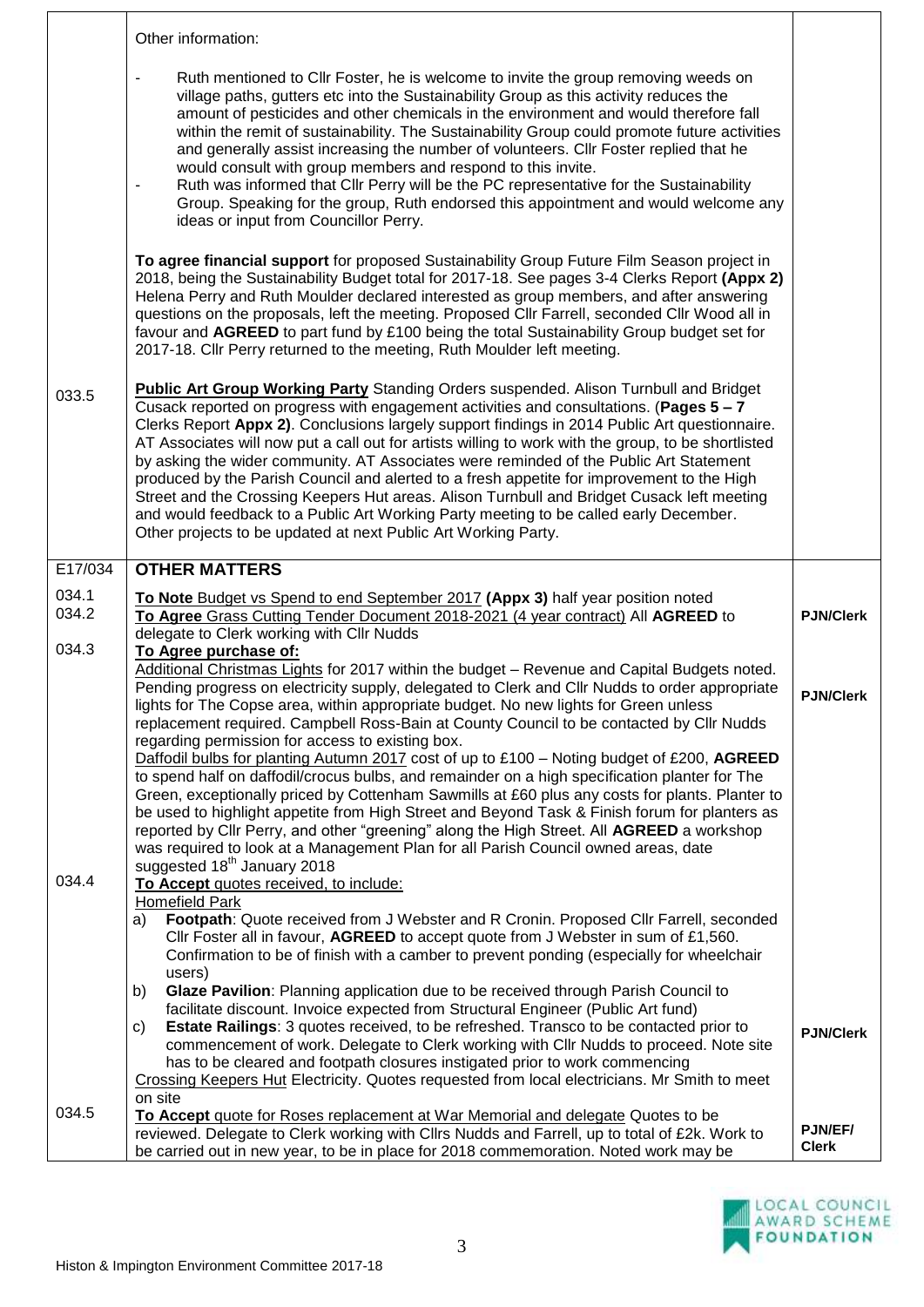|                | Other information:                                                                                                                                                                                                                                                                                                                                                                                                                                                                                                                                                                                                                                                                                                                                                                                                                                                                                                                                                                                                                                                                                                                                                                                                                      |                                |
|----------------|-----------------------------------------------------------------------------------------------------------------------------------------------------------------------------------------------------------------------------------------------------------------------------------------------------------------------------------------------------------------------------------------------------------------------------------------------------------------------------------------------------------------------------------------------------------------------------------------------------------------------------------------------------------------------------------------------------------------------------------------------------------------------------------------------------------------------------------------------------------------------------------------------------------------------------------------------------------------------------------------------------------------------------------------------------------------------------------------------------------------------------------------------------------------------------------------------------------------------------------------|--------------------------------|
|                | Ruth mentioned to Cllr Foster, he is welcome to invite the group removing weeds on<br>village paths, gutters etc into the Sustainability Group as this activity reduces the<br>amount of pesticides and other chemicals in the environment and would therefore fall<br>within the remit of sustainability. The Sustainability Group could promote future activities<br>and generally assist increasing the number of volunteers. Cllr Foster replied that he<br>would consult with group members and respond to this invite.<br>Ruth was informed that Cllr Perry will be the PC representative for the Sustainability<br>Group. Speaking for the group, Ruth endorsed this appointment and would welcome any<br>ideas or input from Councillor Perry.                                                                                                                                                                                                                                                                                                                                                                                                                                                                                  |                                |
|                | To agree financial support for proposed Sustainability Group Future Film Season project in<br>2018, being the Sustainability Budget total for 2017-18. See pages 3-4 Clerks Report (Appx 2)<br>Helena Perry and Ruth Moulder declared interested as group members, and after answering<br>questions on the proposals, left the meeting. Proposed Cllr Farrell, seconded Cllr Wood all in<br>favour and AGREED to part fund by £100 being the total Sustainability Group budget set for<br>2017-18. Cllr Perry returned to the meeting, Ruth Moulder left meeting.                                                                                                                                                                                                                                                                                                                                                                                                                                                                                                                                                                                                                                                                       |                                |
| 033.5          | Public Art Group Working Party Standing Orders suspended. Alison Turnbull and Bridget<br>Cusack reported on progress with engagement activities and consultations. (Pages 5 - 7<br>Clerks Report Appx 2). Conclusions largely support findings in 2014 Public Art questionnaire.<br>AT Associates will now put a call out for artists willing to work with the group, to be shortlisted<br>by asking the wider community. AT Associates were reminded of the Public Art Statement<br>produced by the Parish Council and alerted to a fresh appetite for improvement to the High<br>Street and the Crossing Keepers Hut areas. Alison Turnbull and Bridget Cusack left meeting<br>and would feedback to a Public Art Working Party meeting to be called early December.<br>Other projects to be updated at next Public Art Working Party.                                                                                                                                                                                                                                                                                                                                                                                                |                                |
| E17/034        | <b>OTHER MATTERS</b>                                                                                                                                                                                                                                                                                                                                                                                                                                                                                                                                                                                                                                                                                                                                                                                                                                                                                                                                                                                                                                                                                                                                                                                                                    |                                |
| 034.1<br>034.2 | To Note Budget vs Spend to end September 2017 (Appx 3) half year position noted<br>To Agree Grass Cutting Tender Document 2018-2021 (4 year contract) All AGREED to<br>delegate to Clerk working with Cllr Nudds                                                                                                                                                                                                                                                                                                                                                                                                                                                                                                                                                                                                                                                                                                                                                                                                                                                                                                                                                                                                                        | <b>PJN/Clerk</b>               |
| 034.3          | To Agree purchase of:                                                                                                                                                                                                                                                                                                                                                                                                                                                                                                                                                                                                                                                                                                                                                                                                                                                                                                                                                                                                                                                                                                                                                                                                                   |                                |
| 034.4          | Additional Christmas Lights for 2017 within the budget - Revenue and Capital Budgets noted.<br>Pending progress on electricity supply, delegated to Clerk and Cllr Nudds to order appropriate<br>lights for The Copse area, within appropriate budget. No new lights for Green unless<br>replacement required. Campbell Ross-Bain at County Council to be contacted by Cllr Nudds<br>regarding permission for access to existing box.<br>Daffodil bulbs for planting Autumn 2017 cost of up to £100 - Noting budget of £200, AGREED<br>to spend half on daffodil/crocus bulbs, and remainder on a high specification planter for The<br>Green, exceptionally priced by Cottenham Sawmills at £60 plus any costs for plants. Planter to<br>be used to highlight appetite from High Street and Beyond Task & Finish forum for planters as<br>reported by Cllr Perry, and other "greening" along the High Street. All AGREED a workshop<br>was required to look at a Management Plan for all Parish Council owned areas, date<br>suggested 18 <sup>th</sup> January 2018<br>To Accept quotes received, to include:<br><b>Homefield Park</b><br>Footpath: Quote received from J Webster and R Cronin. Proposed Cllr Farrell, seconded<br>a) | <b>PJN/Clerk</b>               |
|                | Cllr Foster all in favour, AGREED to accept quote from J Webster in sum of £1,560.<br>Confirmation to be of finish with a camber to prevent ponding (especially for wheelchair                                                                                                                                                                                                                                                                                                                                                                                                                                                                                                                                                                                                                                                                                                                                                                                                                                                                                                                                                                                                                                                          |                                |
|                | users)<br>Glaze Pavilion: Planning application due to be received through Parish Council to<br>b)<br>facilitate discount. Invoice expected from Structural Engineer (Public Art fund)<br>Estate Railings: 3 quotes received, to be refreshed. Transco to be contacted prior to<br>C)<br>commencement of work. Delegate to Clerk working with Cllr Nudds to proceed. Note site<br>has to be cleared and footpath closures instigated prior to work commencing<br>Crossing Keepers Hut Electricity. Quotes requested from local electricians. Mr Smith to meet<br>on site                                                                                                                                                                                                                                                                                                                                                                                                                                                                                                                                                                                                                                                                 | <b>PJN/Clerk</b>               |
| 034.5          | To Accept quote for Roses replacement at War Memorial and delegate Quotes to be<br>reviewed. Delegate to Clerk working with Cllrs Nudds and Farrell, up to total of £2k. Work to<br>be carried out in new year, to be in place for 2018 commemoration. Noted work may be                                                                                                                                                                                                                                                                                                                                                                                                                                                                                                                                                                                                                                                                                                                                                                                                                                                                                                                                                                | <b>PJN/EF/</b><br><b>Clerk</b> |